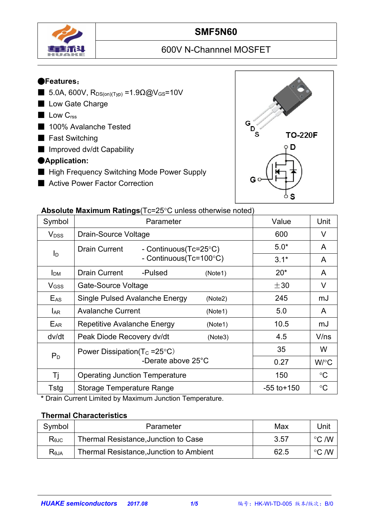

## **SMF5N60**

# 600V N-Channnel MOSFET

#### ●**Features**:

- 5.0A, 600V,  $R_{DS(on)(Typ)} = 1.9Ω@V_{GS} = 10V$
- Low Gate Charge
- Low C<sub>rss</sub>
- 100% Avalanche Tested
- Fast Switching
- Improved dv/dt Capability

### ●**Application:**

- High Frequency Switching Mode Power Supply
- Active Power Factor Correction



#### **Absolute Maximum Ratings** (Tc=25°C unless otherwise noted)

|                         | $\sim$ weekend maximum required to zo o different moon field $\sim$ |                 |                 |
|-------------------------|---------------------------------------------------------------------|-----------------|-----------------|
| Symbol                  | Parameter                                                           | Value           | Unit            |
| <b>V</b> <sub>DSS</sub> | Drain-Source Voltage                                                | 600             | $\vee$          |
| $I_D$                   | <b>Drain Current</b><br>- Continuous(Tc=25°C)                       | $5.0*$          | A               |
|                         | - Continuous( $Tc=100^{\circ}C$ )                                   | $3.1*$          | A               |
| <b>I</b> <sub>DM</sub>  | <b>Drain Current</b><br>-Pulsed<br>(Note1)                          | $20*$           | $\overline{A}$  |
| $V$ gss                 | Gate-Source Voltage                                                 | $\pm 30$        | V               |
| $E_{AS}$                | Single Pulsed Avalanche Energy<br>(Note2)                           | 245             | mJ              |
| <b>LAR</b>              | <b>Avalanche Current</b><br>(Note1)                                 | 5.0             | $\mathsf{A}$    |
| E <sub>AR</sub>         | Repetitive Avalanche Energy<br>(Note1)                              | 10.5            | mJ              |
| dv/dt                   | Peak Diode Recovery dv/dt<br>(Note3)                                | 4.5             | V/ns            |
| $P_D$                   | Power Dissipation( $T_c = 25^{\circ}C$ )                            | 35              | W               |
|                         | -Derate above 25°C                                                  | 0.27            | W/°C            |
| Τj                      | <b>Operating Junction Temperature</b>                               | 150             | $\rm ^{\circ}C$ |
| Tstg                    | <b>Storage Temperature Range</b>                                    | $-55$ to $+150$ | $\rm ^{\circ}C$ |
|                         |                                                                     |                 |                 |

**\*** Drain Current Limited by Maximum Junction Temperature.

#### **Thermal Characteristics**

| Symbol         | Parameter                               | Max  | Unit            |  |
|----------------|-----------------------------------------|------|-----------------|--|
| $R_{\theta$ JC | Thermal Resistance, Junction to Case    | 3.57 | こ /W<br>$\circ$ |  |
| $R_{\theta$ JA | Thermal Resistance, Junction to Ambient | 62.5 | こ /W<br>$\circ$ |  |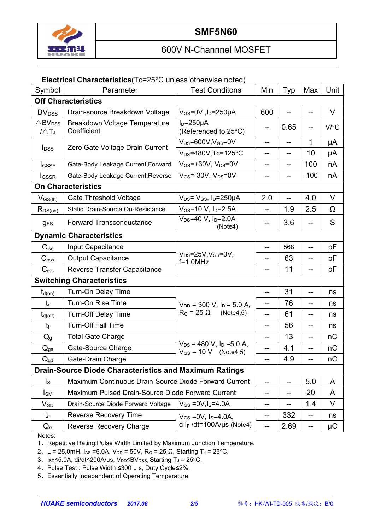

#### **Electrical Characteristics**(Tc=25°C unless otherwise noted)

| Symbol                                            | Parameter                                                     | <b>Test Conditons</b>                                                  | Min               | Typ  | Max          | Unit     |  |
|---------------------------------------------------|---------------------------------------------------------------|------------------------------------------------------------------------|-------------------|------|--------------|----------|--|
|                                                   | <b>Off Characteristics</b>                                    |                                                                        |                   |      |              |          |  |
| <b>BV</b> <sub>DSS</sub>                          | Drain-source Breakdown Voltage                                | $V_{GS}$ =0V, l <sub>D</sub> =250µA                                    | 600               |      | --           | $\vee$   |  |
| $\triangle$ BV <sub>DSS</sub><br>$1\triangle T_J$ | Breakdown Voltage Temperature<br>Coefficient                  | $I_D = 250 \mu A$<br>(Referenced to 25°C)                              | --                | 0.65 |              | V/C      |  |
| <b>I</b> <sub>DSS</sub>                           | Zero Gate Voltage Drain Current                               | $V_{DS} = 600V$ , $V_{GS} = 0V$                                        | --                | ——   | 1            | μA       |  |
|                                                   |                                                               | $V_{DS} = 480V$ , Tc=125°C                                             | --                | --   | 10           | μA       |  |
| <b>I</b> GSSF                                     | Gate-Body Leakage Current, Forward                            | $V_{GS}$ =+30V, $V_{DS}$ =0V                                           | --                | --   | 100          | nA       |  |
| <b>I</b> GSSR                                     | Gate-Body Leakage Current, Reverse                            | $V_{GS}$ =-30V, $V_{DS}$ =0V                                           | --                | --   | $-100$       | nA       |  |
| <b>On Characteristics</b>                         |                                                               |                                                                        |                   |      |              |          |  |
| $V_{GS(th)}$                                      | <b>Gate Threshold Voltage</b>                                 | $V_{DS} = V_{GS}$ , $I_D = 250 \mu A$                                  | 2.0               |      | 4.0          | $\vee$   |  |
| $R_{DS(on)}$                                      | Static Drain-Source On-Resistance                             | $V_{GS}$ =10 V, $I_D$ =2.5A                                            | $-$               | 1.9  | 2.5          | $\Omega$ |  |
| <b>gFS</b>                                        | <b>Forward Transconductance</b>                               | $V_{DS} = 40 V$ , $I_D = 2.0 A$<br>(Note4)                             | --                | 3.6  | --           | S        |  |
|                                                   | <b>Dynamic Characteristics</b>                                |                                                                        |                   |      |              |          |  |
| $C$ <sub>iss</sub>                                | Input Capacitance                                             |                                                                        | --                | 568  | --           | pF       |  |
| C <sub>oss</sub>                                  | <b>Output Capacitance</b>                                     | $V_{DS} = 25V$ , $V_{GS} = 0V$ ,<br>$f=1.0$ MHz                        | --                | 63   | --           | pF       |  |
| C <sub>rss</sub>                                  | Reverse Transfer Capacitance                                  |                                                                        | --                | 11   |              | рF       |  |
|                                                   | <b>Switching Characteristics</b>                              |                                                                        |                   |      |              |          |  |
| $t_{d(on)}$                                       | Turn-On Delay Time                                            |                                                                        | --                | 31   | --           | ns       |  |
| $t_{r}$                                           | Turn-On Rise Time                                             | $V_{DD}$ = 300 V, $I_D$ = 5.0 A,                                       | --                | 76   | --           | ns       |  |
| $t_{d(off)}$                                      | <b>Turn-Off Delay Time</b>                                    | $R_G = 25 \Omega$<br>(Note4,5)                                         | --                | 61   | --           | ns       |  |
| $t_{f}$                                           | <b>Turn-Off Fall Time</b>                                     |                                                                        | --                | 56   | --           | ns       |  |
| $Q_g$                                             | <b>Total Gate Charge</b>                                      |                                                                        | --                | 13   | --           | nC       |  |
| $Q_{gs}$                                          | Gate-Source Charge                                            | $V_{DS}$ = 480 V, I <sub>D</sub> = 5.0 A,<br>$V_{GS} = 10 V$ (Note4,5) | $-$               | 4.1  |              | nC       |  |
| $Q_{gd}$                                          | Gate-Drain Charge                                             |                                                                        |                   | 4.9  |              | nC       |  |
|                                                   | <b>Drain-Source Diode Characteristics and Maximum Ratings</b> |                                                                        |                   |      |              |          |  |
| $\mathsf{I}_\mathsf{S}$                           | Maximum Continuous Drain-Source Diode Forward Current         | --                                                                     | --                | 5.0  | A            |          |  |
| $I_{SM}$                                          | Maximum Pulsed Drain-Source Diode Forward Current             | --                                                                     | --                | 20   | $\mathsf{A}$ |          |  |
| $V_{SD}$                                          | Drain-Source Diode Forward Voltage                            | $V_{GS} = 0V, I_S = 4.0A$                                              | --                |      | 1.4          | V        |  |
| $t_{rr}$                                          | <b>Reverse Recovery Time</b>                                  | $V_{GS} = 0V$ , $I_S = 4.0A$ ,                                         | $\qquad \qquad -$ | 332  | $--$         | ns       |  |
| $Q_{rr}$                                          | Reverse Recovery Charge                                       | d I <sub>F</sub> /dt=100A/µs (Note4)                                   | $-$               | 2.69 | $- -$        | $\mu$ C  |  |

Notes:

1、Repetitive Rating:Pulse Width Limited by Maximum Junction Temperature.

2、L = 25.0mH, I<sub>AS</sub> = 5.0A, V<sub>DD</sub> = 50V, R<sub>G</sub> = 25 Ω, Starting T<sub>J</sub> = 25 °C.

3、Isp≤5.0A, di/dt≤200A/µs, V<sub>DD</sub>≤BV<sub>DSS,</sub> Starting T<sub>J</sub> = 25°C.

4、Pulse Test : Pulse Width ≤300 µ s, Duty Cycle≤2%.

5、Essentially Independent of Operating Temperature.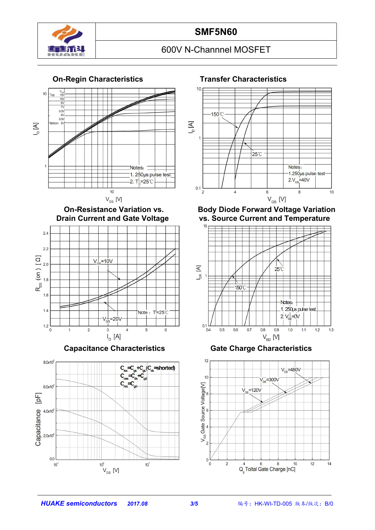





**Capacitance Characteristics Gate Charge Characteristics**







**On-Resistance Variation vs. Body Diode Forward Voltage Variation Drain Current and Temperature** 



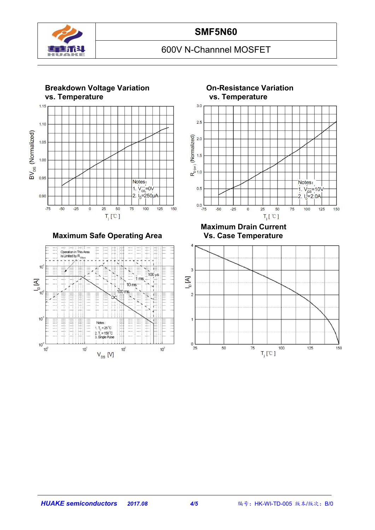



**Maximum Safe Operating Area** 





**Maximum Drain Current**